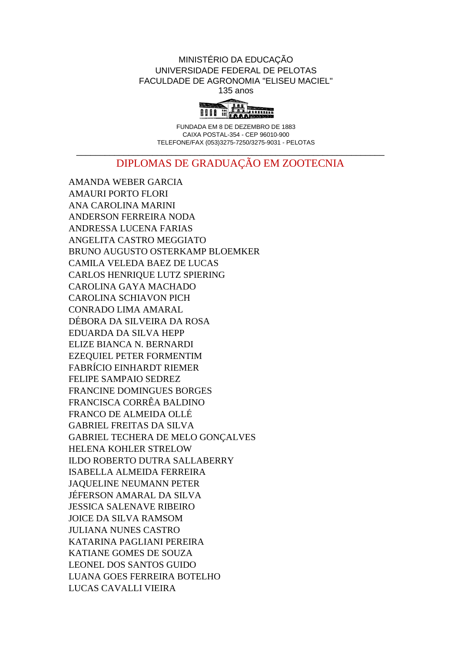## MINISTÉRIO DA EDUCAÇÃO UNIVERSIDADE FEDERAL DE PELOTAS FACULDADE DE AGRONOMIA "ELISEU MACIEL" 135 anos



FUNDADA EM 8 DE DEZEMBRO DE 1883 CAIXA POSTAL-354 - CEP 96010-900 TELEFONE/FAX (053)3275-7250/3275-9031 - PELOTAS

## \_\_\_\_\_\_\_\_\_\_\_\_\_\_\_\_\_\_\_\_\_\_\_\_\_\_\_\_\_\_\_\_\_\_\_\_\_\_\_\_\_\_\_\_\_\_\_\_\_\_\_\_\_\_\_\_\_\_\_\_\_\_\_\_\_ DIPLOMAS DE GRADUAÇÃO EM ZOOTECNIA

AMANDA WEBER GARCIA AMAURI PORTO FLORI ANA CAROLINA MARINI ANDERSON FERREIRA NODA ANDRESSA LUCENA FARIAS ANGELITA CASTRO MEGGIATO BRUNO AUGUSTO OSTERKAMP BLOEMKER CAMILA VELEDA BAEZ DE LUCAS CARLOS HENRIQUE LUTZ SPIERING CAROLINA GAYA MACHADO CAROLINA SCHIAVON PICH CONRADO LIMA AMARAL DÉBORA DA SILVEIRA DA ROSA EDUARDA DA SILVA HEPP ELIZE BIANCA N. BERNARDI EZEQUIEL PETER FORMENTIM FABRÍCIO EINHARDT RIEMER FELIPE SAMPAIO SEDREZ FRANCINE DOMINGUES BORGES FRANCISCA CORRÊA BALDINO FRANCO DE ALMEIDA OLLÉ GABRIEL FREITAS DA SILVA GABRIEL TECHERA DE MELO GONÇALVES HELENA KOHLER STRELOW ILDO ROBERTO DUTRA SALLABERRY ISABELLA ALMEIDA FERREIRA JAQUELINE NEUMANN PETER JÉFERSON AMARAL DA SILVA JESSICA SALENAVE RIBEIRO JOICE DA SILVA RAMSOM JULIANA NUNES CASTRO KATARINA PAGLIANI PEREIRA KATIANE GOMES DE SOUZA LEONEL DOS SANTOS GUIDO LUANA GOES FERREIRA BOTELHO LUCAS CAVALLI VIEIRA